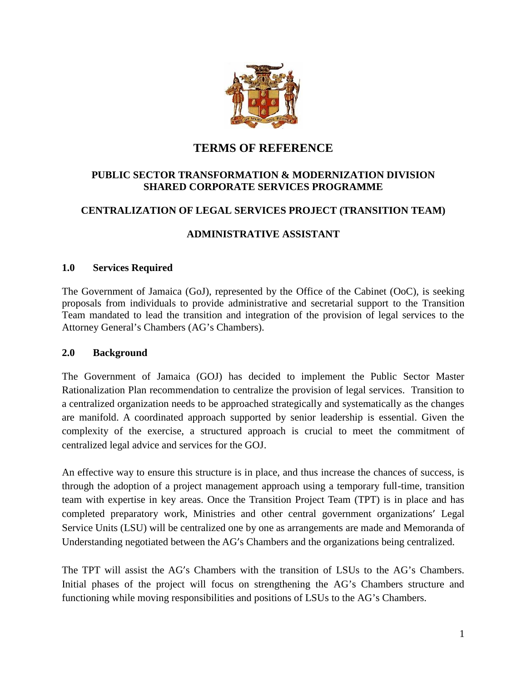

# **TERMS OF REFERENCE**

## **PUBLIC SECTOR TRANSFORMATION & MODERNIZATION DIVISION SHARED CORPORATE SERVICES PROGRAMME**

## **CENTRALIZATION OF LEGAL SERVICES PROJECT (TRANSITION TEAM)**

## **ADMINISTRATIVE ASSISTANT**

#### **1.0 Services Required**

The Government of Jamaica (GoJ), represented by the Office of the Cabinet (OoC), is seeking proposals from individuals to provide administrative and secretarial support to the Transition Team mandated to lead the transition and integration of the provision of legal services to the Attorney General's Chambers (AG's Chambers).

#### **2.0 Background**

The Government of Jamaica (GOJ) has decided to implement the Public Sector Master Rationalization Plan recommendation to centralize the provision of legal services. Transition to a centralized organization needs to be approached strategically and systematically as the changes are manifold. A coordinated approach supported by senior leadership is essential. Given the complexity of the exercise, a structured approach is crucial to meet the commitment of centralized legal advice and services for the GOJ.

An effective way to ensure this structure is in place, and thus increase the chances of success, is through the adoption of a project management approach using a temporary full-time, transition team with expertise in key areas. Once the Transition Project Team (TPT) is in place and has completed preparatory work, Ministries and other central government organizations' Legal Service Units (LSU) will be centralized one by one as arrangements are made and Memoranda of Understanding negotiated between the AG's Chambers and the organizations being centralized.

The TPT will assist the AG's Chambers with the transition of LSUs to the AG's Chambers. Initial phases of the project will focus on strengthening the AG's Chambers structure and functioning while moving responsibilities and positions of LSUs to the AG's Chambers.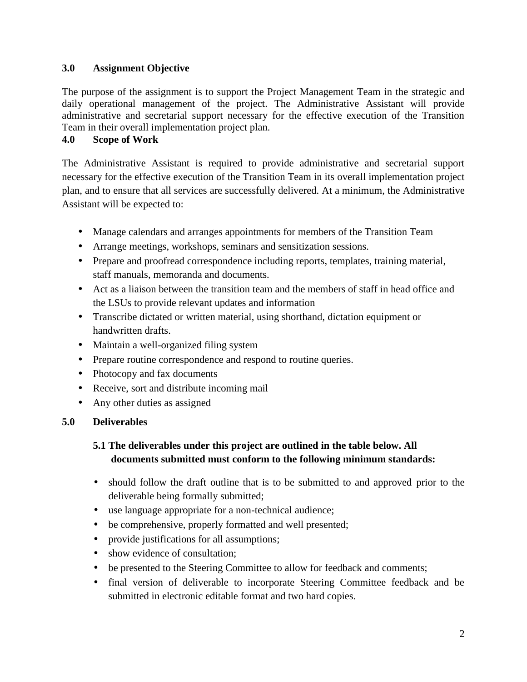## **3.0 Assignment Objective**

The purpose of the assignment is to support the Project Management Team in the strategic and daily operational management of the project. The Administrative Assistant will provide administrative and secretarial support necessary for the effective execution of the Transition Team in their overall implementation project plan.

# **4.0 Scope of Work**

The Administrative Assistant is required to provide administrative and secretarial support necessary for the effective execution of the Transition Team in its overall implementation project plan, and to ensure that all services are successfully delivered. At a minimum, the Administrative Assistant will be expected to:

- Manage calendars and arranges appointments for members of the Transition Team
- Arrange meetings, workshops, seminars and sensitization sessions.
- Prepare and proofread correspondence including reports, templates, training material, staff manuals, memoranda and documents.
- Act as a liaison between the transition team and the members of staff in head office and the LSUs to provide relevant updates and information
- Transcribe dictated or written material, using shorthand, dictation equipment or handwritten drafts.
- Maintain a well-organized filing system
- Prepare routine correspondence and respond to routine queries.
- Photocopy and fax documents
- Receive, sort and distribute incoming mail
- Any other duties as assigned

## **5.0 Deliverables**

# **5.1 The deliverables under this project are outlined in the table below. All documents submitted must conform to the following minimum standards:**

- should follow the draft outline that is to be submitted to and approved prior to the deliverable being formally submitted;
- use language appropriate for a non-technical audience;
- be comprehensive, properly formatted and well presented;
- provide justifications for all assumptions;
- show evidence of consultation;
- be presented to the Steering Committee to allow for feedback and comments;
- final version of deliverable to incorporate Steering Committee feedback and be submitted in electronic editable format and two hard copies.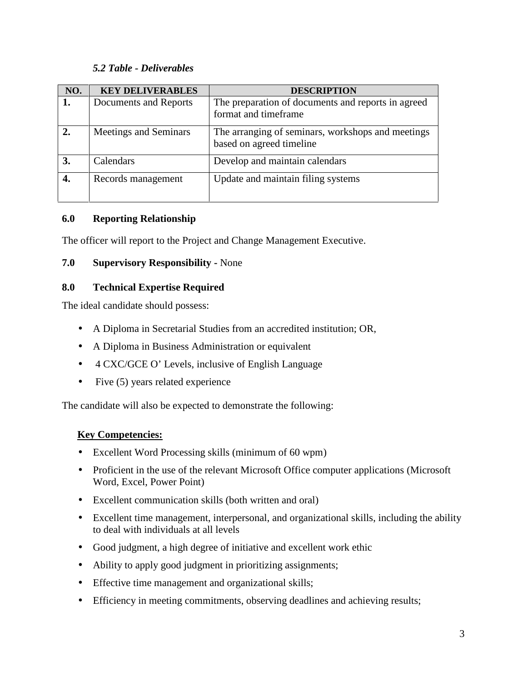#### *5.2 Table - Deliverables*

| NO. | <b>KEY DELIVERABLES</b> | <b>DESCRIPTION</b>                                                            |
|-----|-------------------------|-------------------------------------------------------------------------------|
| 1.  | Documents and Reports   | The preparation of documents and reports in agreed<br>format and timeframe    |
|     | Meetings and Seminars   | The arranging of seminars, workshops and meetings<br>based on agreed timeline |
|     | Calendars               | Develop and maintain calendars                                                |
|     | Records management      | Update and maintain filing systems                                            |

#### **6.0 Reporting Relationship**

The officer will report to the Project and Change Management Executive.

## **7.0 Supervisory Responsibility -** None

#### **8.0 Technical Expertise Required**

The ideal candidate should possess:

- A Diploma in Secretarial Studies from an accredited institution; OR,
- A Diploma in Business Administration or equivalent
- 4 CXC/GCE O' Levels, inclusive of English Language
- $\bullet$  Five (5) years related experience

The candidate will also be expected to demonstrate the following:

## **Key Competencies:**

- Excellent Word Processing skills (minimum of 60 wpm)
- Proficient in the use of the relevant Microsoft Office computer applications (Microsoft) Word, Excel, Power Point)
- Excellent communication skills (both written and oral)
- Excellent time management, interpersonal, and organizational skills, including the ability to deal with individuals at all levels
- Good judgment, a high degree of initiative and excellent work ethic
- Ability to apply good judgment in prioritizing assignments;
- Effective time management and organizational skills;
- Efficiency in meeting commitments, observing deadlines and achieving results;